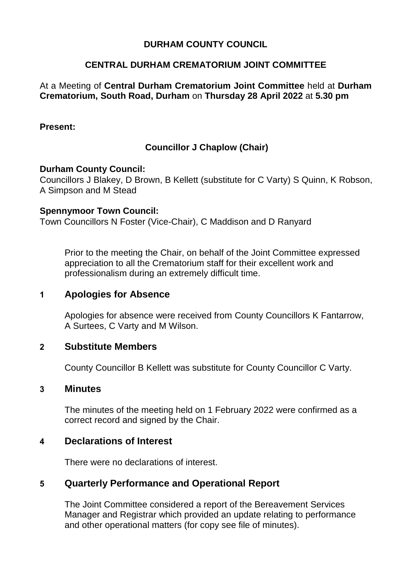## **DURHAM COUNTY COUNCIL**

### **CENTRAL DURHAM CREMATORIUM JOINT COMMITTEE**

#### At a Meeting of **Central Durham Crematorium Joint Committee** held at **Durham Crematorium, South Road, Durham** on **Thursday 28 April 2022** at **5.30 pm**

#### **Present:**

## **Councillor J Chaplow (Chair)**

#### **Durham County Council:**

Councillors J Blakey, D Brown, B Kellett (substitute for C Varty) S Quinn, K Robson, A Simpson and M Stead

#### **Spennymoor Town Council:**

Town Councillors N Foster (Vice-Chair), C Maddison and D Ranyard

Prior to the meeting the Chair, on behalf of the Joint Committee expressed appreciation to all the Crematorium staff for their excellent work and professionalism during an extremely difficult time.

#### **1 Apologies for Absence**

Apologies for absence were received from County Councillors K Fantarrow, A Surtees, C Varty and M Wilson.

#### **2 Substitute Members**

County Councillor B Kellett was substitute for County Councillor C Varty.

#### **3 Minutes**

The minutes of the meeting held on 1 February 2022 were confirmed as a correct record and signed by the Chair.

#### **4 Declarations of Interest**

There were no declarations of interest.

## **5 Quarterly Performance and Operational Report**

The Joint Committee considered a report of the Bereavement Services Manager and Registrar which provided an update relating to performance and other operational matters (for copy see file of minutes).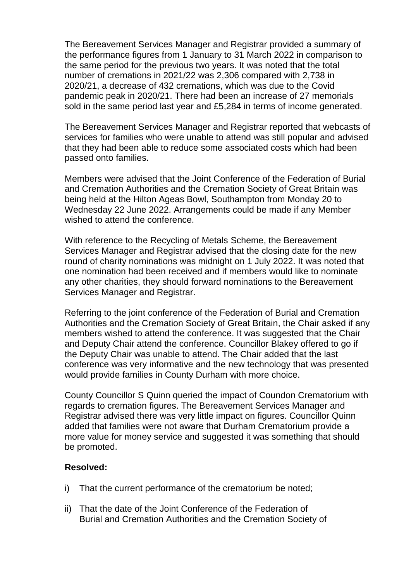The Bereavement Services Manager and Registrar provided a summary of the performance figures from 1 January to 31 March 2022 in comparison to the same period for the previous two years. It was noted that the total number of cremations in 2021/22 was 2,306 compared with 2,738 in 2020/21, a decrease of 432 cremations, which was due to the Covid pandemic peak in 2020/21. There had been an increase of 27 memorials sold in the same period last year and £5,284 in terms of income generated.

The Bereavement Services Manager and Registrar reported that webcasts of services for families who were unable to attend was still popular and advised that they had been able to reduce some associated costs which had been passed onto families.

Members were advised that the Joint Conference of the Federation of Burial and Cremation Authorities and the Cremation Society of Great Britain was being held at the Hilton Ageas Bowl, Southampton from Monday 20 to Wednesday 22 June 2022. Arrangements could be made if any Member wished to attend the conference.

With reference to the Recycling of Metals Scheme, the Bereavement Services Manager and Registrar advised that the closing date for the new round of charity nominations was midnight on 1 July 2022. It was noted that one nomination had been received and if members would like to nominate any other charities, they should forward nominations to the Bereavement Services Manager and Registrar.

Referring to the joint conference of the Federation of Burial and Cremation Authorities and the Cremation Society of Great Britain, the Chair asked if any members wished to attend the conference. It was suggested that the Chair and Deputy Chair attend the conference. Councillor Blakey offered to go if the Deputy Chair was unable to attend. The Chair added that the last conference was very informative and the new technology that was presented would provide families in County Durham with more choice.

County Councillor S Quinn queried the impact of Coundon Crematorium with regards to cremation figures. The Bereavement Services Manager and Registrar advised there was very little impact on figures. Councillor Quinn added that families were not aware that Durham Crematorium provide a more value for money service and suggested it was something that should be promoted.

## **Resolved:**

- i) That the current performance of the crematorium be noted;
- ii) That the date of the Joint Conference of the Federation of Burial and Cremation Authorities and the Cremation Society of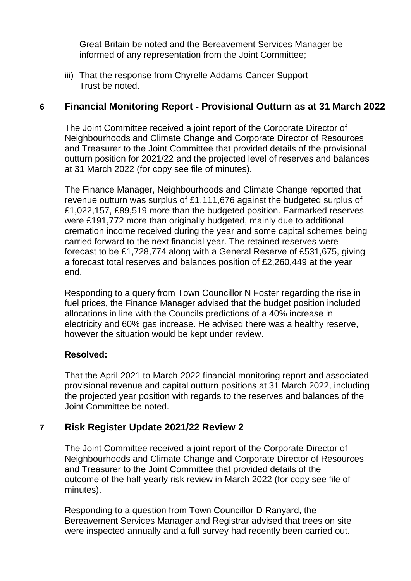Great Britain be noted and the Bereavement Services Manager be informed of any representation from the Joint Committee;

iii) That the response from Chyrelle Addams Cancer Support Trust be noted.

# **6 Financial Monitoring Report - Provisional Outturn as at 31 March 2022**

The Joint Committee received a joint report of the Corporate Director of Neighbourhoods and Climate Change and Corporate Director of Resources and Treasurer to the Joint Committee that provided details of the provisional outturn position for 2021/22 and the projected level of reserves and balances at 31 March 2022 (for copy see file of minutes).

The Finance Manager, Neighbourhoods and Climate Change reported that revenue outturn was surplus of £1,111,676 against the budgeted surplus of £1,022,157, £89,519 more than the budgeted position. Earmarked reserves were £191,772 more than originally budgeted, mainly due to additional cremation income received during the year and some capital schemes being carried forward to the next financial year. The retained reserves were forecast to be £1,728,774 along with a General Reserve of £531,675, giving a forecast total reserves and balances position of £2,260,449 at the year end.

Responding to a query from Town Councillor N Foster regarding the rise in fuel prices, the Finance Manager advised that the budget position included allocations in line with the Councils predictions of a 40% increase in electricity and 60% gas increase. He advised there was a healthy reserve, however the situation would be kept under review.

## **Resolved:**

That the April 2021 to March 2022 financial monitoring report and associated provisional revenue and capital outturn positions at 31 March 2022, including the projected year position with regards to the reserves and balances of the Joint Committee be noted.

## **7 Risk Register Update 2021/22 Review 2**

The Joint Committee received a joint report of the Corporate Director of Neighbourhoods and Climate Change and Corporate Director of Resources and Treasurer to the Joint Committee that provided details of the outcome of the half-yearly risk review in March 2022 (for copy see file of minutes).

Responding to a question from Town Councillor D Ranyard, the Bereavement Services Manager and Registrar advised that trees on site were inspected annually and a full survey had recently been carried out.